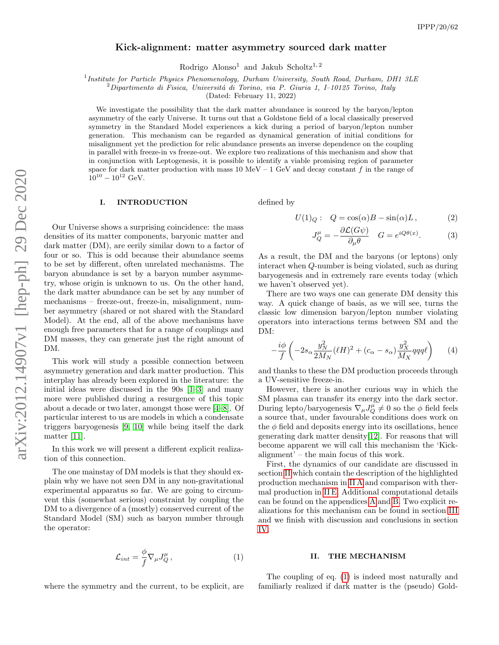# Kick-alignment: matter asymmetry sourced dark matter

Rodrigo Alonso<sup>1</sup> and Jakub Scholtz<sup>1, 2</sup>

<sup>1</sup> Institute for Particle Physics Phenomenology, Durham University, South Road, Durham, DH1 3LE

 ${}^{2}$ Dipartimento di Fisica, Universitá di Torino, via P. Giuria 1, I–10125 Torino, Italy

(Dated: February 11, 2022)

We investigate the possibility that the dark matter abundance is sourced by the baryon/lepton asymmetry of the early Universe. It turns out that a Goldstone field of a local classically preserved symmetry in the Standard Model experiences a kick during a period of baryon/lepton number generation. This mechanism can be regarded as dynamical generation of initial conditions for misalignment yet the prediction for relic abundance presents an inverse dependence on the coupling in parallel with freeze-in vs freeze-out. We explore two realizations of this mechanism and show that in conjunction with Leptogenesis, it is possible to identify a viable promising region of parameter space for dark matter production with mass 10 MeV – 1 GeV and decay constant f in the range of  $10^{10} - 10^{12}$  GeV.

## I. INTRODUCTION

Our Universe shows a surprising coincidence: the mass densities of its matter components, baryonic matter and dark matter (DM), are eerily similar down to a factor of four or so. This is odd because their abundance seems to be set by different, often unrelated mechanisms. The baryon abundance is set by a baryon number asymmetry, whose origin is unknown to us. On the other hand, the dark matter abundance can be set by any number of mechanisms – freeze-out, freeze-in, misalignment, number asymmetry (shared or not shared with the Standard Model). At the end, all of the above mechanisms have enough free parameters that for a range of couplings and DM masses, they can generate just the right amount of DM.

This work will study a possible connection between asymmetry generation and dark matter production. This interplay has already been explored in the literature: the initial ideas were discussed in the 90s [\[1–](#page-9-0)[3\]](#page-9-1) and many more were published during a resurgence of this topic about a decade or two later, amongst those were [\[4–](#page-9-2)[8\]](#page-9-3). Of particular interest to us are models in which a condensate triggers baryogenesis [\[9,](#page-9-4) [10\]](#page-9-5) while being itself the dark matter [\[11\]](#page-9-6).

In this work we will present a different explicit realization of this connection.

The one mainstay of DM models is that they should explain why we have not seen DM in any non-gravitational experimental apparatus so far. We are going to circumvent this (somewhat serious) constraint by coupling the DM to a divergence of a (mostly) conserved current of the Standard Model (SM) such as baryon number through the operator:

$$
\mathcal{L}_{int} = \frac{\phi}{f} \nabla_{\mu} J^{\mu}_{Q}, \qquad (1)
$$

where the symmetry and the current, to be explicit, are

defined by

$$
U(1)_Q: \quad Q = \cos(\alpha)B - \sin(\alpha)L \,, \tag{2}
$$

$$
J^{\mu}_Q = -\frac{\partial \mathcal{L}(G\psi)}{\partial_{\mu}\theta} \quad G = e^{iQ\theta(x)}.
$$
 (3)

As a result, the DM and the baryons (or leptons) only interact when Q-number is being violated, such as during baryogenesis and in extremely rare events today (which we haven't observed yet).

There are two ways one can generate DM density this way. A quick change of basis, as we will see, turns the classic low dimension baryon/lepton number violating operators into interactions terms between SM and the DM:

$$
-\frac{i\phi}{f}\left(-2s_{\alpha}\frac{y_N^2}{2M_N}(\ell H)^2 + (c_{\alpha} - s_{\alpha})\frac{y_X^2}{M_X}qqq\ell\right) \tag{4}
$$

and thanks to these the DM production proceeds through a UV-sensitive freeze-in.

However, there is another curious way in which the SM plasma can transfer its energy into the dark sector. During lepto/baryogenesis  $\nabla_{\mu} J_{Q}^{\mu} \neq 0$  so the  $\phi$  field feels a source that, under favourable conditions does work on the  $\phi$  field and deposits energy into its oscillations, hence generating dark matter density[\[12\]](#page-9-7). For reasons that will become apparent we will call this mechanism the 'Kickalignment' – the main focus of this work.

First, the dynamics of our candidate are discussed in section [II](#page-0-0) which contain the description of the highlighted production mechanism in [II A](#page-1-0) and comparison with thermal production in [II E.](#page-5-0) Additional computational details can be found on the appendices [A](#page-8-0) and [B.](#page-8-1) Two explicit realizations for this mechanism can be found in section [III](#page-6-0) and we finish with discussion and conclusions in section [IV.](#page-8-2)

#### <span id="page-0-0"></span>II. THE MECHANISM

<span id="page-0-1"></span>The coupling of eq. [\(1\)](#page-0-1) is indeed most naturally and familiarly realized if dark matter is the (pseudo) Gold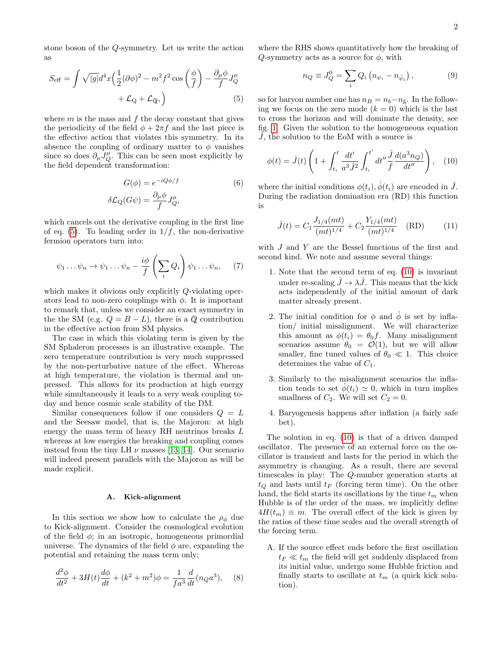stone boson of the Q-symmetry. Let us write the action as

$$
S_{\text{eff}} = \int \sqrt{|g|} d^4 x \left(\frac{1}{2} (\partial \phi)^2 - m^2 f^2 \cos\left(\frac{\phi}{f}\right) - \frac{\partial_\mu \phi}{f} J_Q^\mu + \mathcal{L}_Q + \mathcal{L}_Q, \right) \tag{5}
$$

where  $m$  is the mass and  $f$  the decay constant that gives the periodicity of the field  $\phi + 2\pi f$  and the last piece is the effective action that violates this symmetry. In its absence the coupling of ordinary matter to  $\phi$  vanishes since so does  $\partial_{\mu}J_{Q}^{\mu}$ . This can be seen most explicitly by the field dependent transformation:

$$
G(\phi) = e^{-iQ\phi/f}
$$
  
\n
$$
\delta \mathcal{L}_{Q}(G\psi) = \frac{\partial_{\mu}\phi}{f} J_{Q}^{\mu},
$$
\n(6)

which cancels out the derivative coupling in the first line of eq. [\(5\)](#page-1-1). To leading order in  $1/f$ , the non-derivative fermion operators turn into:

$$
\psi_1 \dots \psi_n \to \psi_1 \dots \psi_n - \frac{i\phi}{f} \left( \sum_i Q_i \right) \psi_1 \dots \psi_n, \quad (7)
$$

which makes it obvious only explicitly Q-violating operators lead to non-zero couplings with  $\phi$ . It is important to remark that, unless we consider an exact symmetry in the the SM (e.g.  $Q = B - L$ ), there is a  $Q$  contribution in the effective action from SM physics.

The case in which this violating term is given by the SM Sphaleron processes is an illustrative example. The zero temperature contribution is very much suppressed by the non-perturbative nature of the effect. Whereas at high temperature, the violation is thermal and unpressed. This allows for its production at high energy while simultaneously it leads to a very weak coupling today and hence cosmic scale stability of the DM.

Similar consequences follow if one considers  $Q = L$ and the Seesaw model, that is, the Majoron: at high energy the mass term of heavy RH neutrinos breaks L whereas at low energies the breaking and coupling comes instead from the tiny LH  $\nu$  masses [\[13,](#page-9-8) [14\]](#page-9-9). Our scenario will indeed present parallels with the Majoron as will be made explicit.

# <span id="page-1-0"></span>A. Kick-alignment

In this section we show how to calculate the  $\rho_{\phi}$  due to Kick-alignment. Consider the cosmological evolution of the field  $\phi$ ; in an isotropic, homogeneous primordial universe. The dynamics of the field  $\phi$  are, expanding the potential and retaining the mass term only;

$$
\frac{d^2\phi}{dt^2} + 3H(t)\frac{d\phi}{dt} + (k^2 + m^2)\phi = \frac{1}{fa^3}\frac{d}{dt}(n_Qa^3),\quad (8)
$$

where the RHS shows quantitatively how the breaking of  $Q$ -symmetry acts as a source for  $\phi$ , with

<span id="page-1-2"></span>
$$
n_Q \equiv J_Q^0 = \sum_i Q_i \left( n_{\psi_i} - n_{\bar{\psi}_i} \right), \qquad (9)
$$

<span id="page-1-1"></span>so for baryon number one has  $n_B = n_b - n_{\bar{b}}$ . In the following we focus on the zero mode  $(k = 0)$  which is the last to cross the horizon and will dominate the density, see fig. [1.](#page-2-0) Given the solution to the homogeneous equation  $J$ , the solution to the EoM with a source is

$$
\phi(t) = \hat{J}(t) \left( 1 + \int_{t_i}^{t} \frac{dt'}{a^3 \hat{J}^2} \int_{t_i}^{t'} dt'' \frac{\hat{J}}{f} \frac{d(a^3 n_Q)}{dt''} \right), \quad (10)
$$

<span id="page-1-4"></span>where the initial conditions  $\phi(t_i), \dot{\phi}(t_i)$  are encoded in  $\hat{J}$ . During the radiation domination era (RD) this function is

<span id="page-1-3"></span>
$$
\hat{J}(t) = C_1 \frac{J_{1/4}(mt)}{(mt)^{1/4}} + C_2 \frac{Y_{1/4}(mt)}{(mt)^{1/4}} \quad \text{(RD)} \tag{11}
$$

<span id="page-1-5"></span>with J and Y are the Bessel functions of the first and second kind. We note and assume several things:

- 1. Note that the second term of eq. [\(10\)](#page-1-2) is invariant under re-scaling  $\hat{J} \rightarrow \lambda \hat{J}$ . This means that the kick acts independently of the initial amount of dark matter already present.
- 2. The initial condition for  $\phi$  and  $\dot{\phi}$  is set by inflation/ initial misalignment. We will characterize this amount as  $\phi(t_i) = \theta_0 f$ . Many misalignment scenarios assume  $\theta_0 = \mathcal{O}(1)$ , but we will allow smaller, fine tuned values of  $\theta_0 \ll 1$ . This choice determines the value of  $C_1$ .
- 3. Similarly to the misalignment scenarios the inflation tends to set  $\phi(t_i) \simeq 0$ , which in turn implies smallness of  $C_2$ . We will set  $C_2 = 0$ .
- 4. Baryogenesis happens after inflation (a fairly safe bet).

The solution in eq. [\(10\)](#page-1-2) is that of a driven damped oscillator. The presence of an external force on the oscillator is transient and lasts for the period in which the asymmetry is changing. As a result, there are several timescales in play: The Q-number generation starts at  $t_Q$  and lasts until  $t_F$  (forcing term time). On the other hand, the field starts its oscillations by the time  $t_m$  when Hubble is of the order of the mass, we implicitly define  $4H(t_m) \equiv m$ . The overall effect of the kick is given by the ratios of these time scales and the overall strength of the forcing term.

A. If the source effect ends before the first oscillation  $t_F \ll t_m$  the field will get suddenly displaced from its initial value, undergo some Hubble friction and finally starts to oscillate at  $t_m$  (a quick kick solution).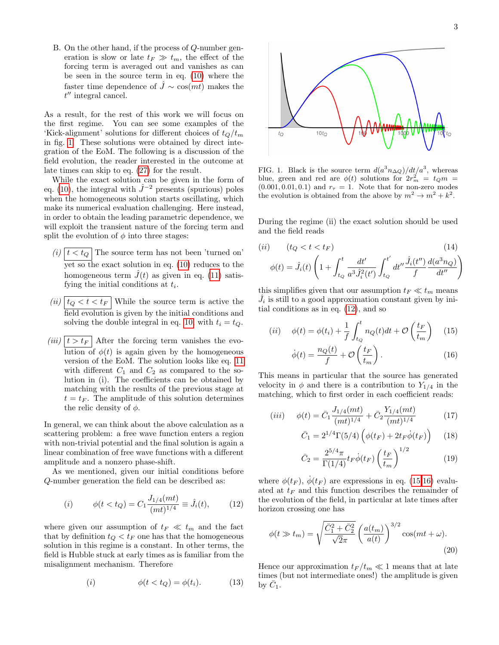B. On the other hand, if the process of Q-number generation is slow or late  $t_F \gg t_m$ , the effect of the forcing term is averaged out and vanishes as can be seen in the source term in eq. [\(10\)](#page-1-2) where the faster time dependence of  $\hat{J} \sim \cos(mt)$  makes the  $t''$  integral cancel.

As a result, for the rest of this work we will focus on the first regime. You can see some examples of the 'Kick-alignment' solutions for different choices of  $t_0/t_m$ in fig. [1.](#page-2-0) These solutions were obtained by direct integration of the EoM. The following is a discussion of the field evolution, the reader interested in the outcome at late times can skip to eq. [\(27\)](#page-3-0) for the result.

While the exact solution can be given in the form of eq. [\(10\)](#page-1-2), the integral with  $\hat{J}^{-2}$  presents (spurious) poles when the homogeneous solution starts oscillating, which make its numerical evaluation challenging. Here instead, in order to obtain the leading parametric dependence, we will exploit the transient nature of the forcing term and split the evolution of  $\phi$  into three stages:

- $(i)$   $|t < t_Q|$  The source term has not been 'turned on' yet so the exact solution in eq. [\(10\)](#page-1-2) reduces to the homogeneous term  $\tilde{J}(t)$  as given in eq. [\(11\)](#page-1-3) satisfying the initial conditions at  $t_i$ .
- (ii)  $|t_Q < t < t_F|$  While the source term is active the field evolution is given by the initial conditions and solving the double integral in eq. [10,](#page-1-2) with  $t_i = t_Q$ .
- $(iii)$   $|t > t_F|$  After the forcing term vanishes the evolution of  $\phi(t)$  is again given by the homogeneous version of the EoM. The solution looks like eq. [11](#page-1-3) with different  $C_1$  and  $C_2$  as compared to the solution in (i). The coefficients can be obtained by matching with the results of the previous stage at  $t = t_F$ . The amplitude of this solution determines the relic density of  $\phi$ .

In general, we can think about the above calculation as a scattering problem: a free wave function enters a region with non-trivial potential and the final solution is again a linear combination of free wave functions with a different amplitude and a nonzero phase-shift.

As we mentioned, given our initial conditions before Q-number generation the field can be described as:

(i) 
$$
\phi(t < t_Q) = C_1 \frac{J_{1/4}(mt)}{(mt)^{1/4}} \equiv \hat{J}_i(t), \qquad (12)
$$

where given our assumption of  $t_F \ll t_m$  and the fact that by definition  $t_Q < t_F$  one has that the homogeneous solution in this regime is a constant. In other terms, the field is Hubble stuck at early times as is familiar from the misalignment mechanism. Therefore

$$
(i) \qquad \phi(t < t_Q) = \phi(t_i). \qquad (13)
$$



<span id="page-2-0"></span>FIG. 1. Black is the source term  $d(a^3 n_{\Delta Q})/dt/a^3$ , whereas blue, green and red are  $\phi(t)$  solutions for  $2r_m^2 = t_Q m =$  $(0.001, 0.01, 0.1)$  and  $r<sub>\tau</sub> = 1$ . Note that for non-zero modes the evolution is obtained from the above by  $m^2 \to m^2 + k^2$ .

During the regime (ii) the exact solution should be used and the field reads

$$
(ii) \t(t_Q < t < t_F)
$$
\n
$$
\phi(t) = \hat{J}_i(t) \left( 1 + \int_{t_Q}^t \frac{dt'}{a^3 \hat{J}_i^2(t')} \int_{t_Q}^{t'} dt'' \frac{\hat{J}_i(t'')}{f} \frac{d(a^3 n_Q)}{dt''} \right)
$$
\n(14)

this simplifies given that our assumption  $t_F \ll t_m$  means  $\hat{J}_i$  is still to a good approximation constant given by initial conditions as in eq. [\(12\)](#page-2-1), and so

$$
(ii) \quad \phi(t) = \phi(t_i) + \frac{1}{f} \int_{t_Q}^t n_Q(t)dt + \mathcal{O}\left(\frac{t_F}{t_m}\right) \quad (15)
$$

<span id="page-2-3"></span><span id="page-2-2"></span>
$$
\dot{\phi}(t) = \frac{n_Q(t)}{f} + \mathcal{O}\left(\frac{t_F}{t_m}\right). \tag{16}
$$

This means in particular that the source has generated velocity in  $\phi$  and there is a contribution to  $Y_{1/4}$  in the matching, which to first order in each coefficient reads:

$$
(iii) \quad \phi(t) = \bar{C}_1 \frac{J_{1/4}(mt)}{(mt)^{1/4}} + \bar{C}_2 \frac{Y_{1/4}(mt)}{(mt)^{1/4}} \tag{17}
$$

<span id="page-2-5"></span>
$$
\bar{C}_1 = 2^{1/4} \Gamma(5/4) \left( \phi(t_F) + 2t_F \dot{\phi}(t_F) \right) \tag{18}
$$

<span id="page-2-4"></span>
$$
\bar{C}_2 = \frac{2^{5/4}\pi}{\Gamma(1/4)} t_F \dot{\phi}(t_F) \left(\frac{t_F}{t_m}\right)^{1/2} \tag{19}
$$

<span id="page-2-1"></span>where  $\phi(t_F)$ ,  $\dot{\phi}(t_F)$  are expressions in eq. [\(15,](#page-2-2)[16\)](#page-2-3) evaluated at  $t_F$  and this function describes the remainder of the evolution of the field, in particular at late times after horizon crossing one has

$$
\phi(t \gg t_m) = \sqrt{\frac{\bar{C}_1^2 + \bar{C}_2^2}{\sqrt{2}\pi}} \left(\frac{a(t_m)}{a(t)}\right)^{3/2} \cos(mt + \omega). \tag{20}
$$

Hence our approximation  $t_F / t_m \ll 1$  means that at late times (but not intermediate ones!) the amplitude is given by  $\bar{C}_1$ .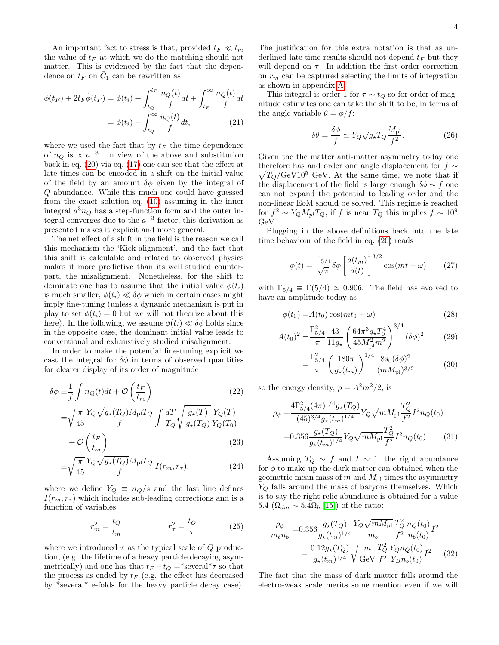An important fact to stress is that, provided  $t_F \ll t_m$ the value of  $t_F$  at which we do the matching should not matter. This is evidenced by the fact that the dependence on  $t_F$  on  $\overline{C}_1$  can be rewritten as

$$
\phi(t_F) + 2t_F \dot{\phi}(t_F) = \phi(t_i) + \int_{t_Q}^{t_F} \frac{n_Q(t)}{f} dt + \int_{t_F}^{\infty} \frac{n_Q(t)}{f} dt
$$

$$
= \phi(t_i) + \int_{t_Q}^{\infty} \frac{n_Q(t)}{f} dt, \tag{21}
$$

where we used the fact that by  $t_F$  the time dependence of  $n_Q$  is  $\propto a^{-3}$ . In view of the above and substitution back in eq. [\(20\)](#page-2-4) via eq. [\(17\)](#page-2-5) one can see that the effect at late times can be encoded in a shift on the initial value of the field by an amount  $\delta\phi$  given by the integral of Q abundance. While this much one could have guessed from the exact solution eq. [\(10\)](#page-1-2) assuming in the inner integral  $a^3 n_Q$  has a step-function form and the outer integral converges due to the  $a^{-3}$  factor, this derivation as presented makes it explicit and more general.

The net effect of a shift in the field is the reason we call this mechanism the 'Kick-alignment', and the fact that this shift is calculable and related to observed physics makes it more predictive than its well studied counterpart, the misalignment. Nonetheless, for the shift to dominate one has to assume that the initial value  $\phi(t_i)$ is much smaller,  $\phi(t_i) \ll \delta\phi$  which in certain cases might imply fine-tuning (unless a dynamic mechanism is put in play to set  $\phi(t_i) = 0$  but we will not theorize about this here). In the following, we assume  $\phi(t_i) \ll \delta \phi$  holds since in the opposite case, the dominant initial value leads to conventional and exhaustively studied misalignment.

In order to make the potential fine-tuning explicit we cast the integral for  $\delta\phi$  in terms of observed quantities for clearer display of its order of magnitude

$$
\delta \phi \equiv \frac{1}{f} \int n_Q(t)dt + \mathcal{O}\left(\frac{t_F}{t_m}\right)
$$
\n
$$
= \sqrt{\frac{\pi}{45}} \frac{Y_Q \sqrt{g_\star(T_Q)} M_{\rm pl} T_Q}{f} \int \frac{dT}{T_Q} \sqrt{\frac{g_\star(T)}{g_\star(T_Q)}} \frac{Y_Q(T)}{Y_Q(T_0)}
$$
\n(22)

$$
+\,\mathcal{O}\left(\frac{t_F}{t_m}\right) \tag{23}
$$

$$
\equiv \sqrt{\frac{\pi}{45}} \frac{Y_Q \sqrt{g_\star(T_Q)} M_{\rm pl} T_Q}{f} I(r_m, r_\tau), \tag{24}
$$

where we define  $Y_Q \equiv n_Q/s$  and the last line defines  $I(r_m, r_\tau)$  which includes sub-leading corrections and is a function of variables

$$
r_m^2 = \frac{t_Q}{t_m} \qquad \qquad r_\tau^2 = \frac{t_Q}{\tau} \qquad (25)
$$

where we introduced  $\tau$  as the typical scale of Q production, (e.g. the lifetime of a heavy particle decaying asymmetrically) and one has that  $t_F - t_Q = *several * \tau$  so that the process as ended by  $t_F$  (e.g. the effect has decreased by \*several\* e-folds for the heavy particle decay case). The justification for this extra notation is that as underlined late time results should not depend  $t_F$  but they will depend on  $\tau$ . In addition the first order correction on  $r_m$  can be captured selecting the limits of integration as shown in appendix [A.](#page-8-0)

This integral is order 1 for  $\tau \sim t_Q$  so for order of magnitude estimates one can take the shift to be, in terms of the angle variable  $\theta = \phi/f$ :

$$
\delta\theta = \frac{\delta\phi}{f} \simeq Y_Q \sqrt{g_\star} T_Q \frac{M_{\rm pl}}{f^2}.
$$
 (26)

Given the the matter anti-matter asymmetry today one  $\sqrt{T_Q/\text{GeV}}10^5$  GeV. At the same time, we note that if therefore has and order one angle displacement for  $f \sim$ the displacement of the field is large enough  $\delta \phi \sim f$  one can not expand the potential to leading order and the non-linear EoM should be solved. This regime is reached for  $f^2 \sim Y_Q M_{pl} T_Q$ ; if f is near  $T_Q$  this implies  $f \sim 10^9$ GeV.

Plugging in the above definitions back into the late time behaviour of the field in eq. [\(20\)](#page-2-4) reads

<span id="page-3-0"></span>
$$
\phi(t) = \frac{\Gamma_{5/4}}{\sqrt{\pi}} \delta \phi \left[ \frac{a(t_m)}{a(t)} \right]^{3/2} \cos(mt + \omega) \tag{27}
$$

with  $\Gamma_{5/4} \equiv \Gamma(5/4) \simeq 0.906$ . The field has evolved to have an amplitude today as

$$
\phi(t_0) = A(t_0) \cos(mt_0 + \omega) \tag{28}
$$

$$
A(t_0)^2 = \frac{\Gamma_{5/4}^2}{\pi} \frac{43}{11g_\star} \left( \frac{64\pi^3 g_\star T_0^4}{45 M_{\rm pl}^2 m^2} \right)^{3/4} (\delta \phi)^2 \tag{29}
$$

$$
= \frac{\Gamma_{5/4}^2}{\pi} \left( \frac{180\pi}{g_\star(t_m)} \right)^{1/4} \frac{8s_0(\delta\phi)^2}{(mM_{\rm pl})^{3/2}} \tag{30}
$$

<span id="page-3-2"></span>so the energy density,  $\rho = A^2 m^2/2$ , is

$$
\rho_{\phi} = \frac{4\Gamma_{5/4}^2 (4\pi)^{1/4} g_{\star}(T_Q)}{(45)^{3/4} g_{\star}(t_m)^{1/4}} Y_Q \sqrt{m M_{\text{pl}}} \frac{T_Q^2}{f^2} I^2 n_Q(t_0)
$$
  
= 0.356  $\frac{g_{\star}(T_Q)}{g_{\star}(t_m)^{1/4}} Y_Q \sqrt{m M_{\text{pl}}} \frac{T_Q^2}{f^2} I^2 n_Q(t_0)$  (31)

<span id="page-3-3"></span>Assuming  $T_Q \sim f$  and  $I \sim 1$ , the right abundance for  $\phi$  to make up the dark matter can obtained when the geometric mean mass of  $m$  and  $M_{\text{pl}}$  times the asymmetry  $Y_Q$  falls around the mass of baryons themselves. Which is to say the right relic abundance is obtained for a value 5.4  $(\Omega_{dm} \sim 5.4\Omega_b$  [\[15\]](#page-9-10)) of the ratio:

<span id="page-3-1"></span>
$$
\frac{\rho_{\phi}}{m_b n_b} = 0.356 \frac{g_{\star}(T_Q)}{g_{\star}(t_m)^{1/4}} \frac{Y_Q \sqrt{m M_{\rm pl}}}{m_b} \frac{T_Q^2}{f^2} \frac{n_Q(t_0)}{n_b(t_0)} I^2
$$

$$
= \frac{0.12 g_{\star}(T_Q)}{g_{\star}(t_m)^{1/4}} \sqrt{\frac{m}{\rm GeV}} \frac{T_Q^2}{f^2} \frac{Y_Q n_Q(t_0)}{Y_B n_b(t_0)} I^2 \qquad (32)
$$

The fact that the mass of dark matter falls around the electro-weak scale merits some mention even if we will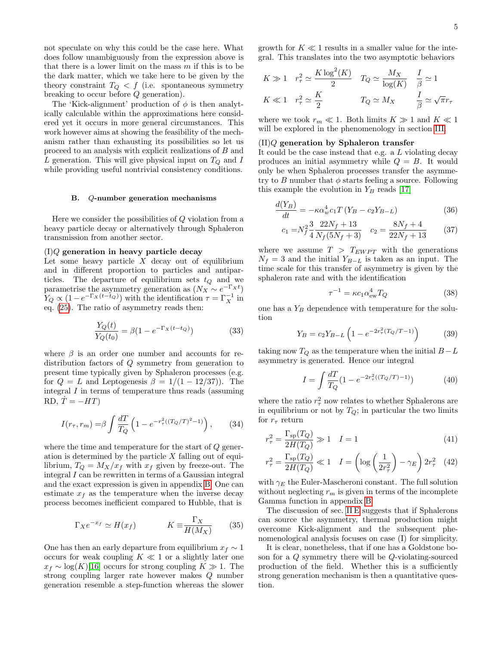not speculate on why this could be the case here. What does follow unambiguously from the expression above is that there is a lower limit on the mass  $m$  if this is to be the dark matter, which we take here to be given by the theory constraint  $T_Q < f$  (i.e. spontaneous symmetry breaking to occur before Q generation).

The 'Kick-alignment' production of  $\phi$  is then analytically calculable within the approximations here considered yet it occurs in more general circumstances. This work however aims at showing the feasibility of the mechanism rather than exhausting its possibilities so let us proceed to an analysis with explicit realizations of B and L generation. This will give physical input on  $T_Q$  and I while providing useful nontrivial consistency conditions.

# B. Q-number generation mechanisms

Here we consider the possibilities of Q violation from a heavy particle decay or alternatively through Sphaleron transmission from another sector.

# $(I)Q$  generation in heavy particle decay

Let some heavy particle  $X$  decay out of equilibrium and in different proportion to particles and antiparticles. The departure of equilibrium sets  $t_Q$  and we parametrise the asymmetry generation as  $(N_X \sim e^{-\Gamma_X t})$  $Y_Q \propto (1 - e^{-\Gamma_X(t - t_Q)})$  with the identification  $\tau = \Gamma_X^{-1}$  in eq. [\(25\)](#page-3-1). The ratio of asymmetry reads then:

$$
\frac{Y_Q(t)}{Y_Q(t_0)} = \beta (1 - e^{-\Gamma_X(t - t_Q)})
$$
\n(33)

where  $\beta$  is an order one number and accounts for redistribution factors of Q symmetry from generation to present time typically given by Sphaleron processes (e.g. for  $Q = L$  and Leptogenesis  $\beta = 1/(1 - 12/37)$ . The integral I in terms of temperature thus reads (assuming RD,  $\dot{T} = -HT$ )

$$
I(r_{\tau}, r_m) = \beta \int \frac{dT}{T_Q} \left( 1 - e^{-r_{\tau}^2((T_Q/T)^2 - 1)} \right), \quad (34)
$$

where the time and temperature for the start of Q generation is determined by the particle  $X$  falling out of equilibrium,  $T_Q = M_X/x_f$  with  $x_f$  given by freeze-out. The integral I can be rewritten in terms of a Gaussian integral and the exact expression is given in appendix [B.](#page-8-1) One can estimate  $x_f$  as the temperature when the inverse decay process becomes inefficient compared to Hubble, that is

$$
\Gamma_X e^{-x_f} \simeq H(x_f) \qquad K \equiv \frac{\Gamma_X}{H(M_X)} \qquad (35)
$$

One has then an early departure from equilibrium  $x_f \sim 1$ occurs for weak coupling  $K \ll 1$  or a slightly later one  $x_f \sim \log(K)[16]$  $x_f \sim \log(K)[16]$  occurs for strong coupling  $K \gg 1$ . The strong coupling larger rate however makes Q number generation resemble a step-function whereas the slower

growth for  $K \ll 1$  results in a smaller value for the integral. This translates into the two asymptotic behaviors

$$
K \gg 1 \quad r_{\tau}^{2} \simeq \frac{K \log^{2}(K)}{2} \quad T_{Q} \simeq \frac{M_{X}}{\log(K)} \quad \frac{I}{\beta} \simeq 1
$$

$$
K \ll 1 \quad r_{\tau}^{2} \simeq \frac{K}{2} \qquad T_{Q} \simeq M_{X} \qquad \frac{I}{\beta} \simeq \sqrt{\pi}r_{\tau}
$$

where we took  $r_m \ll 1$ . Both limits  $K \gg 1$  and  $K \ll 1$ will be explored in the phenomenology in section [III.](#page-6-0)

# $(II)Q$  generation by Sphaleron transfer

It could be the case instead that e.g. a L violating decay produces an initial asymmetry while  $Q = B$ . It would only be when Sphaleron processes transfer the asymmetry to B number that  $\phi$  starts feeling a source. Following this example the evolution in  $Y_B$  reads [\[17\]](#page-9-12)

$$
\frac{d(Y_B)}{dt} = -\kappa \alpha_w^4 c_1 T \left( Y_B - c_2 Y_{B-L} \right) \tag{36}
$$

$$
c_1 = N_f^2 \frac{3}{4} \frac{22N_f + 13}{N_f(5N_f + 3)} \quad c_2 = \frac{8N_f + 4}{22N_f + 13} \tag{37}
$$

where we assume  $T > T_{EWPT}$  with the generations  $N_f = 3$  and the initial  $Y_{B-L}$  is taken as an input. The time scale for this transfer of asymmetry is given by the sphaleron rate and with the identification

$$
\tau^{-1} = \kappa c_1 \alpha_{\rm ew}^4 T_Q \tag{38}
$$

one has a  $Y_B$  dependence with temperature for the solution

$$
Y_B = c_2 Y_{B-L} \left( 1 - e^{-2r_\tau^2 (T_Q/T - 1)} \right) \tag{39}
$$

taking now  $T_Q$  as the temperature when the initial  $B - L$ asymmetry is generated. Hence our integral

<span id="page-4-1"></span>
$$
I = \int \frac{dT}{T_Q} (1 - e^{-2r_{\tau}^2((T_Q/T) - 1)}) \tag{40}
$$

<span id="page-4-0"></span>where the ratio  $r_\tau^2$  now relates to whether Sphalerons are in equilibrium or not by  $T_Q$ ; in particular the two limits for  $r_{\tau}$  return

$$
r_{\tau}^2 = \frac{\Gamma_{\rm sp}(T_Q)}{2H(T_Q)} \gg 1 \quad I = 1 \tag{41}
$$

$$
r_{\tau}^2 = \frac{\Gamma_{\rm sp}(T_Q)}{2H(T_Q)} \ll 1 \quad I = \left(\log\left(\frac{1}{2r_{\tau}^2}\right) - \gamma_E\right)2r_{\tau}^2 \quad (42)
$$

with  $\gamma_E$  the Euler-Mascheroni constant. The full solution without neglecting  $r_m$  is given in terms of the incomplete Gamma function in appendix [B.](#page-8-1)

The discussion of sec. [II E](#page-5-0) suggests that if Sphalerons can source the asymmetry, thermal production might overcome Kick-alignment and the subsequent phenomenological analysis focuses on case (I) for simplicity.

It is clear, nonetheless, that if one has a Goldstone boson for a Q symmetry there will be Q-violating-sourced production of the field. Whether this is a sufficiently strong generation mechanism is then a quantitative question.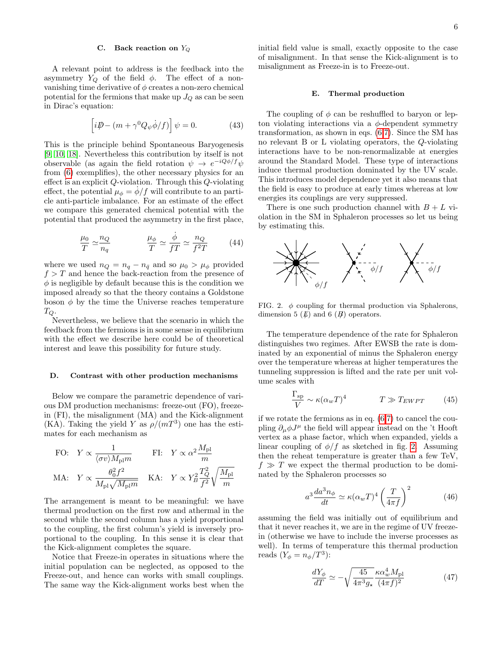# C. Back reaction on  $Y_Q$

A relevant point to address is the feedback into the asymmetry  $Y_Q$  of the field  $\phi$ . The effect of a nonvanishing time derivative of  $\phi$  creates a non-zero chemical potential for the fermions that make up  $J_Q$  as can be seen in Dirac's equation:

$$
\left[i\rlap{\,/}D - (m + \gamma^0 Q_\psi \dot{\phi}/f)\right]\psi = 0. \tag{43}
$$

This is the principle behind Spontaneous Baryogenesis [\[9,](#page-9-4) [10,](#page-9-5) [18\]](#page-9-13). Nevertheless this contribution by itself is not observable (as again the field rotation  $\psi \to e^{-iQ\phi/f} \psi$ from [\(6\)](#page-1-4) exemplifies), the other necessary physics for an effect is an explicit Q-violation. Through this Q-violating effect, the potential  $\mu_{\phi} = \phi/f$  will contribute to an particle anti-particle imbalance. For an estimate of the effect we compare this generated chemical potential with the potential that produced the asymmetry in the first place,

$$
\frac{\mu_0}{T} \simeq \frac{n_Q}{n_q} \qquad \qquad \frac{\mu_\phi}{T} \simeq \frac{\dot{\phi}}{f} \simeq \frac{n_Q}{f^2 T} \qquad (44)
$$

where we used  $n_Q = n_q - n_{\bar{q}}$  and so  $\mu_0 > \mu_\phi$  provided  $f > T$  and hence the back-reaction from the presence of  $\phi$  is negligible by default because this is the condition we imposed already so that the theory contains a Goldstone boson  $\phi$  by the time the Universe reaches temperature  $T_Q$  .

Nevertheless, we believe that the scenario in which the feedback from the fermions is in some sense in equilibrium with the effect we describe here could be of theoretical interest and leave this possibility for future study.

### D. Contrast with other production mechanisms

Below we compare the parametric dependence of various DM production mechanisms: freeze-out (FO), freezein (FI), the misalignment (MA) and the Kick-alignment (KA). Taking the yield Y as  $\rho/(mT^3)$  one has the estimates for each mechanism as

FO: 
$$
Y \propto \frac{1}{\langle \sigma v \rangle M_{\text{pl}} m}
$$
 FI:  $Y \propto \alpha^2 \frac{M_{\text{pl}}}{m}$   
MA:  $Y \propto \frac{\theta_0^2 f^2}{M_{\text{pl}} \sqrt{M_{\text{pl}} m}}$  KA:  $Y \propto Y_B^2 \frac{T_Q^2}{f^2} \sqrt{\frac{M_{\text{pl}}}{m}}$ 

The arrangement is meant to be meaningful: we have thermal production on the first row and athermal in the second while the second column has a yield proportional to the coupling, the first column's yield is inversely proportional to the coupling. In this sense it is clear that the Kick-alignment completes the square.

Notice that Freeze-in operates in situations where the initial population can be neglected, as opposed to the Freeze-out, and hence can works with small couplings. The same way the Kick-alignment works best when the

initial field value is small, exactly opposite to the case of misalignment. In that sense the Kick-alignment is to misalignment as Freeze-in is to Freeze-out.

#### <span id="page-5-0"></span>E. Thermal production

The coupling of  $\phi$  can be reshuffled to baryon or lepton violating interactions via a  $\phi$ -dependent symmetry transformation, as shown in eqs. [\(6,](#page-1-4)[7\)](#page-1-5). Since the SM has no relevant B or L violating operators, the Q-violating interactions have to be non-renormalizable at energies around the Standard Model. These type of interactions induce thermal production dominated by the UV scale. This introduces model dependence yet it also means that the field is easy to produce at early times whereas at low energies its couplings are very suppressed.

There is one such production channel with  $B + L$  violation in the SM in Sphaleron processes so let us being by estimating this.



<span id="page-5-1"></span>FIG. 2.  $\phi$  coupling for thermal production via Sphalerons, dimension 5  $(\not\!\! E)$  and 6  $(\not\!\! B)$  operators.

The temperature dependence of the rate for Sphaleron distinguishes two regimes. After EWSB the rate is dominated by an exponential of minus the Sphaleron energy over the temperature whereas at higher temperatures the tunneling suppression is lifted and the rate per unit volume scales with

$$
\frac{\Gamma_{\rm sp}}{V} \sim \kappa (\alpha_w T)^4 \qquad T \gg T_{EWPT} \qquad (45)
$$

if we rotate the fermions as in eq. [\(6,](#page-1-4)[7\)](#page-1-5) to cancel the coupling  $\partial_{\mu}\phi J^{\mu}$  the field will appear instead on the 't Hooft vertex as a phase factor, which when expanded, yields a linear coupling of  $\phi/f$  as sketched in fig. [2.](#page-5-1) Assuming then the reheat temperature is greater than a few TeV,  $f \gg T$  we expect the thermal production to be dominated by the Sphaleron processes so

$$
a^3 \frac{da^3 n_\phi}{dt} \simeq \kappa (\alpha_w T)^4 \left(\frac{T}{4\pi f}\right)^2 \tag{46}
$$

assuming the field was initially out of equilibrium and that it never reaches it, we are in the regime of UV freezein (otherwise we have to include the inverse processes as well). In terms of temperature this thermal production reads  $(Y_{\phi} = n_{\phi}/T^3)$ :

$$
\frac{dY_{\phi}}{dT} \simeq -\sqrt{\frac{45}{4\pi^3 g_\star}} \frac{\kappa \alpha_w^4 M_{\rm pl}}{(4\pi f)^2} \tag{47}
$$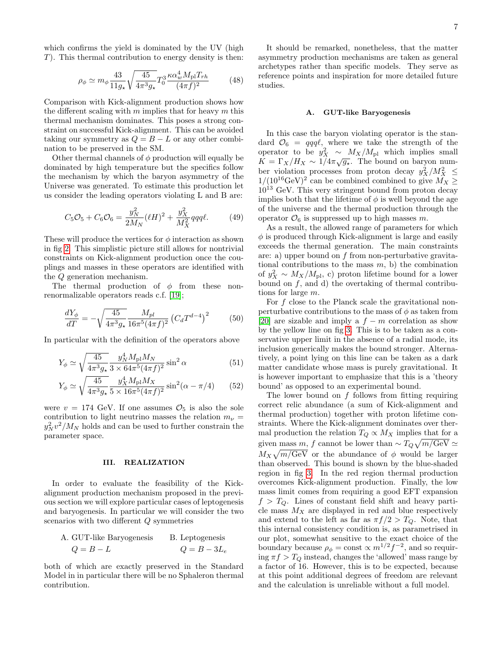which confirms the yield is dominated by the UV (high T). This thermal contribution to energy density is then:

$$
\rho_{\phi} \simeq m_{\phi} \frac{43}{11g_{\star}} \sqrt{\frac{45}{4\pi^3 g_{\star}}} T_0^3 \frac{\kappa \alpha_w^4 M_{\rm pl} T_{rh}}{(4\pi f)^2} \tag{48}
$$

Comparison with Kick-alignment production shows how the different scaling with  $m$  implies that for heavy  $m$  this thermal mechanism dominates. This poses a strong constraint on successful Kick-alignment. This can be avoided taking our symmetry as  $Q = B - L$  or any other combination to be preserved in the SM.

Other thermal channels of  $\phi$  production will equally be dominated by high temperature but the specifics follow the mechanism by which the baryon asymmetry of the Universe was generated. To estimate this production let us consider the leading operators violating L and B are:

$$
C_5 \mathcal{O}_5 + C_6 \mathcal{O}_6 = \frac{y_N^2}{2M_N} (\ell H)^2 + \frac{y_X^2}{M_X^2} qqq\ell.
$$
 (49)

These will produce the vertices for  $\phi$  interaction as shown in fig [2.](#page-5-1) This simplistic picture still allows for nontrivial constraints on Kick-alignment production once the couplings and masses in these operators are identified with the Q generation mechanism.

The thermal production of  $\phi$  from these nonrenormalizable operators reads c.f. [\[19\]](#page-9-14);

$$
\frac{dY_{\phi}}{dT} = -\sqrt{\frac{45}{4\pi^3 g_\star}} \frac{M_{pl}}{16\pi^5 (4\pi f)^2} \left(C_d T^{d-4}\right)^2 \tag{50}
$$

In particular with the definition of the operators above

$$
Y_{\phi} \simeq \sqrt{\frac{45}{4\pi^3 g_\star}} \frac{y_N^4 M_{\rm pl} M_N}{3 \times 64\pi^5 (4\pi f)^2} \sin^2 \alpha \tag{51}
$$

$$
Y_{\phi} \simeq \sqrt{\frac{45}{4\pi^3 g_\star}} \frac{y_X^4 M_{\rm pl} M_X}{5 \times 16\pi^5 (4\pi f)^2} \sin^2(\alpha - \pi/4) \qquad (52)
$$

were  $v = 174$  GeV. If one assumes  $\mathcal{O}_5$  is also the sole contribution to light neutrino masses the relation  $m_{\nu}$  =  $y_N^2 v^2 / M_N$  holds and can be used to further constrain the parameter space.

# <span id="page-6-0"></span>III. REALIZATION

In order to evaluate the feasibility of the Kickalignment production mechanism proposed in the previous section we will explore particular cases of leptogenesis and baryogenesis. In particular we will consider the two scenarios with two different Q symmetries

A. GUT-like Baryogenesis B. Leptogenesis  

$$
Q = B - L \qquad Q = B - 3L_e
$$

both of which are exactly preserved in the Standard Model in in particular there will be no Sphaleron thermal contribution.

It should be remarked, nonetheless, that the matter asymmetry production mechanisms are taken as general archetypes rather than specific models. They serve as reference points and inspiration for more detailed future studies.

## A. GUT-like Baryogenesis

In this case the baryon violating operator is the standard  $\mathcal{O}_6 = qqq\ell$ , where we take the strength of the operator to be  $y_X^2 \sim M_X/M_{\rm pl}$  which implies small  $K = \Gamma_X/H_X \sim 1/4\pi\sqrt{g_*}$ . The bound on baryon number violation processes from proton decay  $y_X^2/M_X^2 \leq$  $1/(10^{16} \text{GeV})^2$  can be combined combined to give  $M_X \geq$  $10^{13}$  GeV. This very stringent bound from proton decay implies both that the lifetime of  $\phi$  is well beyond the age of the universe and the thermal production through the operator  $\mathcal{O}_6$  is suppressed up to high masses m.

As a result, the allowed range of parameters for which  $\phi$  is produced through Kick-alignment is large and easily exceeds the thermal generation. The main constraints are: a) upper bound on  $f$  from non-perturbative gravitational contributions to the mass  $m$ , b) the combination of  $y_X^2 \sim M_X/M_{\text{pl}}$ , c) proton lifetime bound for a lower bound on  $f$ , and d) the overtaking of thermal contributions for large m.

For f close to the Planck scale the gravitational nonperturbative contributions to the mass of  $\phi$  as taken from [\[20\]](#page-9-15) are sizable and imply a  $f - m$  correlation as show by the yellow line on fig [3.](#page-7-0) This is to be taken as a conservative upper limit in the absence of a radial mode, its inclusion generically makes the bound stronger. Alternatively, a point lying on this line can be taken as a dark matter candidate whose mass is purely gravitational. It is however important to emphasize that this is a 'theory bound' as opposed to an experimental bound.

The lower bound on  $f$  follows from fitting requiring correct relic abundance (a sum of Kick-alignment and thermal production) together with proton lifetime constraints. Where the Kick-alignment dominates over thermal production the relation  $T_Q \propto M_X$  implies that for a given mass m, f cannot be lower than  $\sim T_Q \sqrt{m/\text{GeV}} \simeq$  $M_X\sqrt{m/\text{GeV}}$  or the abundance of  $\phi$  would be larger than observed. This bound is shown by the blue-shaded region in fig [3.](#page-7-0) In the red region thermal production overcomes Kick-alignment production. Finally, the low mass limit comes from requiring a good EFT expansion  $f > T_Q$ . Lines of constant field shift and heavy particle mass  $M_X$  are displayed in red and blue respectively and extend to the left as far as  $\pi f/2 > T_Q$ . Note, that this internal consistency condition is, as parametrised in our plot, somewhat sensitive to the exact choice of the boundary because  $\rho_{\phi} = \text{const} \propto m^{1/2} f^{-2}$ , and so requiring  $\pi f > T_Q$  instead, changes the 'allowed' mass range by a factor of 16. However, this is to be expected, because at this point additional degrees of freedom are relevant and the calculation is unreliable without a full model.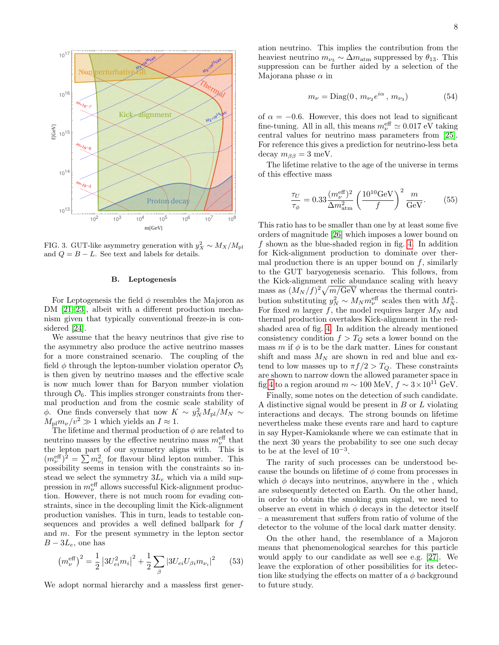

<span id="page-7-0"></span>FIG. 3. GUT-like asymmetry generation with  $y_X^2 \sim M_X/M_{\rm pl}$ and  $Q = B - L$ . See text and labels for details.

### B. Leptogenesis

For Leptogenesis the field  $\phi$  resembles the Majoron as DM [\[21–](#page-9-16)[23\]](#page-9-17), albeit with a different production mechanism given that typically conventional freeze-in is considered [\[24\]](#page-9-18).

We assume that the heavy neutrinos that give rise to the asymmetry also produce the active neutrino masses for a more constrained scenario. The coupling of the field  $\phi$  through the lepton-number violation operator  $\mathcal{O}_5$ is then given by neutrino masses and the effective scale is now much lower than for Baryon number violation through  $\mathcal{O}_6$ . This implies stronger constraints from thermal production and from the cosmic scale stability of  $\phi$ . One finds conversely that now  $K \sim y_N^2 M_{\rm pl}/M_N \sim$  $M_{\rm pl}m_{\nu}/v^2 \gg 1$  which yields an  $I \approx 1$ .

The lifetime and thermal production of  $\phi$  are related to neutrino masses by the effective neutrino mass  $m_{\nu}^{\text{eff}}$  that the lepton part of our symmetry aligns with. This is  $(m_{\nu}^{\text{eff}})^2 = \sum m_{\nu_i}^2$  for flavour blind lepton number. This possibility seems in tension with the constraints so instead we select the symmetry  $3L_e$  which via a mild suppression in  $m_{\nu}^{\text{eff}}$  allows successful Kick-alignment production. However, there is not much room for evading constraints, since in the decoupling limit the Kick-alignment production vanishes. This in turn, leads to testable consequences and provides a well defined ballpark for f and m. For the present symmetry in the lepton sector  $B - 3L_e$ , one has

$$
\left(m_{\nu}^{\text{eff}}\right)^{2} = \frac{1}{2} \left|3U_{ei}^{2}m_{i}\right|^{2} + \frac{1}{2} \sum_{\beta} \left|3U_{ei}U_{\beta i}m_{\nu_{i}}\right|^{2} \qquad (53)
$$

We adopt normal hierarchy and a massless first gener-

ation neutrino. This implies the contribution from the heaviest neutrino  $m_{\nu_3} \sim \Delta m_{\text{atm}}$  suppressed by  $\theta_{13}$ . This suppression can be further aided by a selection of the Majorana phase  $\alpha$  in

$$
m_{\nu} = \text{Diag}(0, m_{\nu_2}e^{i\alpha}, m_{\nu_3})
$$
 (54)

of  $\alpha = -0.6$ . However, this does not lead to significant fine-tuning. All in all, this means  $m_{\nu}^{\text{eff}} \simeq 0.017 \text{ eV}$  taking central values for neutrino mass parameters from [\[25\]](#page-9-19). For reference this gives a prediction for neutrino-less beta decay  $m_{\beta\beta} = 3$  meV.

The lifetime relative to the age of the universe in terms of this effective mass

$$
\frac{\tau_U}{\tau_{\phi}} = 0.33 \frac{(m_{\nu}^{\text{eff}})^2}{\Delta m_{\text{atm}}^2} \left(\frac{10^{10} \text{GeV}}{f}\right)^2 \frac{m}{\text{GeV}}.
$$
 (55)

This ratio has to be smaller than one by at least some five orders of magnitude [\[26\]](#page-9-20) which imposes a lower bound on f shown as the blue-shaded region in fig. [4.](#page-8-3) In addition for Kick-alignment production to dominate over thermal production there is an upper bound on  $f$ , similarly to the GUT baryogenesis scenario. This follows, from the Kick-alignment relic abundance scaling with heavy mass as  $(M_N/f)^2 \sqrt{m/\text{GeV}}$  whereas the thermal contribution substituting  $y_N^2 \sim M_N m_\nu^{\text{eff}}$  scales then with  $M_N^3$ . For fixed m larger  $f$ , the model requires larger  $M_N$  and thermal production overtakes Kick-alignment in the redshaded area of fig. [4.](#page-8-3) In addition the already mentioned consistency condition  $f > T_Q$  sets a lower bound on the mass m if  $\phi$  is to be the dark matter. Lines for constant shift and mass  $M_N$  are shown in red and blue and extend to low masses up to  $\pi f/2 > T_Q$ . These constraints are shown to narrow down the allowed parameter space in fig [4](#page-8-3) to a region around  $m \sim 100 \text{ MeV}, f \sim 3 \times 10^{11} \text{ GeV}.$ 

Finally, some notes on the detection of such candidate. A distinctive signal would be present in  $B$  or  $L$  violating interactions and decays. The strong bounds on lifetime nevertheless make these events rare and hard to capture in say Hyper-Kamiokande where we can estimate that in the next 30 years the probability to see one such decay to be at the level of  $10^{-3}$ .

The rarity of such processes can be understood because the bounds on lifetime of  $\phi$  come from processes in which  $\phi$  decays into neutrinos, anywhere in the, which are subsequently detected on Earth. On the other hand, in order to obtain the smoking gun signal, we need to observe an event in which  $\phi$  decays in the detector itself – a measurement that suffers from ratio of volume of the detector to the volume of the local dark matter density.

On the other hand, the resemblance of a Majoron means that phenomenological searches for this particle would apply to our candidate as well see e.g. [\[27\]](#page-9-21). We leave the exploration of other possibilities for its detection like studying the effects on matter of a  $\phi$  background to future study.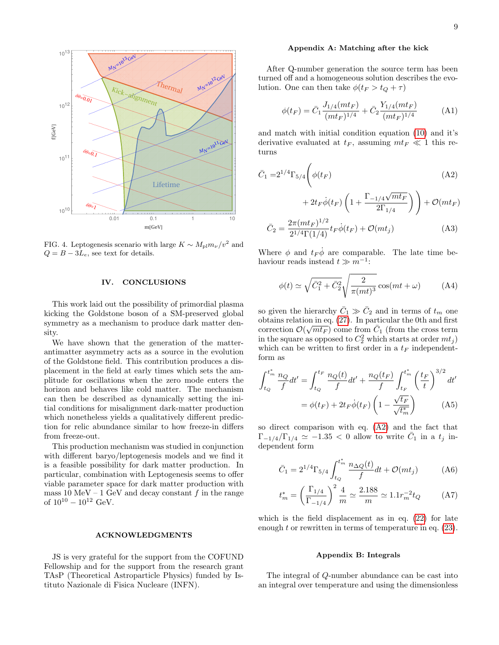

<span id="page-8-3"></span>FIG. 4. Leptogenesis scenario with large  $K \sim M_{\text{pl}} m_{\nu}/v^2$  and  $Q = B - 3L_e$ , see text for details.

### <span id="page-8-2"></span>IV. CONCLUSIONS

This work laid out the possibility of primordial plasma kicking the Goldstone boson of a SM-preserved global symmetry as a mechanism to produce dark matter density.

We have shown that the generation of the matterantimatter asymmetry acts as a source in the evolution of the Goldstone field. This contribution produces a displacement in the field at early times which sets the amplitude for oscillations when the zero mode enters the horizon and behaves like cold matter. The mechanism can then be described as dynamically setting the initial conditions for misalignment dark-matter production which nonetheless yields a qualitatively different prediction for relic abundance similar to how freeze-in differs from freeze-out.

This production mechanism was studied in conjunction with different baryo/leptogenesis models and we find it is a feasible possibility for dark matter production. In particular, combination with Leptogenesis seems to offer viable parameter space for dark matter production with mass 10 MeV – 1 GeV and decay constant  $f$  in the range of  $10^{10} - 10^{12}$  GeV.

#### ACKNOWLEDGMENTS

JS is very grateful for the support from the COFUND Fellowship and for the support from the research grant TAsP (Theoretical Astroparticle Physics) funded by Istituto Nazionale di Fisica Nucleare (INFN).

### <span id="page-8-0"></span>Appendix A: Matching after the kick

After Q-number generation the source term has been turned off and a homogeneous solution describes the evolution. One can then take  $\phi(t_F > t_Q + \tau)$ 

$$
\phi(t_F) = \bar{C}_1 \frac{J_{1/4}(mt_F)}{(mt_F)^{1/4}} + \bar{C}_2 \frac{Y_{1/4}(mt_F)}{(mt_F)^{1/4}} \tag{A1}
$$

and match with initial condition equation [\(10\)](#page-1-2) and it's derivative evaluated at  $t_F$ , assuming  $m t_F \ll 1$  this returns

$$
\bar{C}_1 = 2^{1/4} \Gamma_{5/4} \left( \phi(t_F) \right) \tag{A2}
$$

<span id="page-8-4"></span>
$$
+\,2t_F\dot{\phi}(t_F)\left(1+\frac{\Gamma_{-1/4}\sqrt{mt_F}}{2\Gamma_{1/4}}\right)\Bigg)+\mathcal{O}(mt_F)
$$

$$
\bar{C}_2 = \frac{2\pi (mt_F)^{1/2}}{2^{1/4}\Gamma(1/4)} t_F \dot{\phi}(t_F) + \mathcal{O}(mt_j)
$$
\n(A3)

Where  $\phi$  and  $t_F \dot{\phi}$  are comparable. The late time behaviour reads instead  $t \gg m^{-1}$ :

$$
\phi(t) \simeq \sqrt{\bar{C}_1^2 + \bar{C}_2^2} \sqrt{\frac{2}{\pi (mt)^3}} \cos(mt + \omega)
$$
 (A4)

so given the hierarchy  $\bar{C}_1 \gg \bar{C}_2$  and in terms of  $t_m$  one obtains relation in eq. [\(27\)](#page-3-0). In particular the 0th and first correction  $\mathcal{O}(\sqrt{mt_F})$  come from  $\bar{C}_1$  (from the cross term in the square as opposed to  $C_2^2$  which starts at order  $mt_j$ ) which can be written to first order in a  $t_F$  independentform as

$$
\int_{t_Q}^{t_m^*} \frac{n_Q}{f} dt' = \int_{t_Q}^{t_F} \frac{n_Q(t)}{f} dt' + \frac{n_Q(t_F)}{f} \int_{t_F}^{t_m^*} \left(\frac{t_F}{t}\right)^{3/2} dt'
$$

$$
= \phi(t_F) + 2t_F \dot{\phi}(t_F) \left(1 - \frac{\sqrt{t_F}}{\sqrt{t_m^*}}\right) \tag{A5}
$$

so direct comparison with eq. [\(A2\)](#page-8-4) and the fact that  $\Gamma_{-1/4}/\Gamma_{1/4} \simeq -1.35 < 0$  allow to write  $\bar{C}_1$  in a  $t_j$  independent form

$$
\bar{C}_1 = 2^{1/4} \Gamma_{5/4} \int_{t_Q}^{t_m^*} \frac{n_{\Delta Q}(t)}{f} dt + \mathcal{O}(m t_j)
$$
 (A6)

$$
t_m^* = \left(\frac{\Gamma_{1/4}}{\Gamma_{-1/4}}\right)^2 \frac{4}{m} \simeq \frac{2.188}{m} \simeq 1.1 r_m^{-2} t_Q \tag{A7}
$$

which is the field displacement as in eq. [\(22\)](#page-3-2) for late enough  $t$  or rewritten in terms of temperature in eq.  $(23)$ .

### <span id="page-8-5"></span><span id="page-8-1"></span>Appendix B: Integrals

The integral of Q-number abundance can be cast into an integral over temperature and using the dimensionless